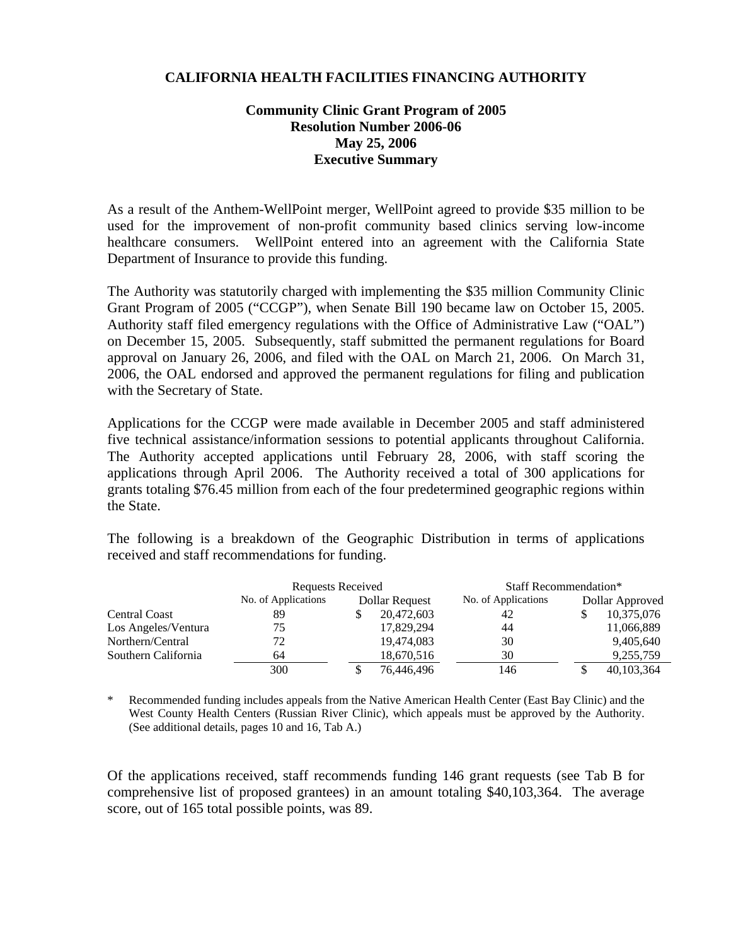## **CALIFORNIA HEALTH FACILITIES FINANCING AUTHORITY**

## **Community Clinic Grant Program of 2005 Resolution Number 2006-06 May 25, 2006 Executive Summary**

As a result of the Anthem-WellPoint merger, WellPoint agreed to provide \$35 million to be used for the improvement of non-profit community based clinics serving low-income healthcare consumers. WellPoint entered into an agreement with the California State Department of Insurance to provide this funding.

The Authority was statutorily charged with implementing the \$35 million Community Clinic Grant Program of 2005 ("CCGP"), when Senate Bill 190 became law on October 15, 2005. Authority staff filed emergency regulations with the Office of Administrative Law ("OAL") on December 15, 2005. Subsequently, staff submitted the permanent regulations for Board approval on January 26, 2006, and filed with the OAL on March 21, 2006. On March 31, 2006, the OAL endorsed and approved the permanent regulations for filing and publication with the Secretary of State.

Applications for the CCGP were made available in December 2005 and staff administered five technical assistance/information sessions to potential applicants throughout California. The Authority accepted applications until February 28, 2006, with staff scoring the applications through April 2006. The Authority received a total of 300 applications for grants totaling \$76.45 million from each of the four predetermined geographic regions within the State.

The following is a breakdown of the Geographic Distribution in terms of applications received and staff recommendations for funding.

|                      | <b>Requests Received</b> |                | Staff Recommendation* |                     |                 |            |
|----------------------|--------------------------|----------------|-----------------------|---------------------|-----------------|------------|
|                      | No. of Applications      | Dollar Request |                       | No. of Applications | Dollar Approved |            |
| <b>Central Coast</b> | 89                       |                | 20,472,603            | 42                  |                 | 10,375,076 |
| Los Angeles/Ventura  | 75                       |                | 17,829,294            | 44                  |                 | 11,066,889 |
| Northern/Central     | 72                       |                | 19,474,083            | 30                  |                 | 9,405,640  |
| Southern California  | 64                       |                | 18,670,516            | 30                  |                 | 9,255,759  |
|                      | 300                      |                | 76,446,496            | 146                 |                 | 40,103,364 |

Recommended funding includes appeals from the Native American Health Center (East Bay Clinic) and the West County Health Centers (Russian River Clinic), which appeals must be approved by the Authority. (See additional details, pages 10 and 16, Tab A.)

Of the applications received, staff recommends funding 146 grant requests (see Tab B for comprehensive list of proposed grantees) in an amount totaling \$40,103,364. The average score, out of 165 total possible points, was 89.